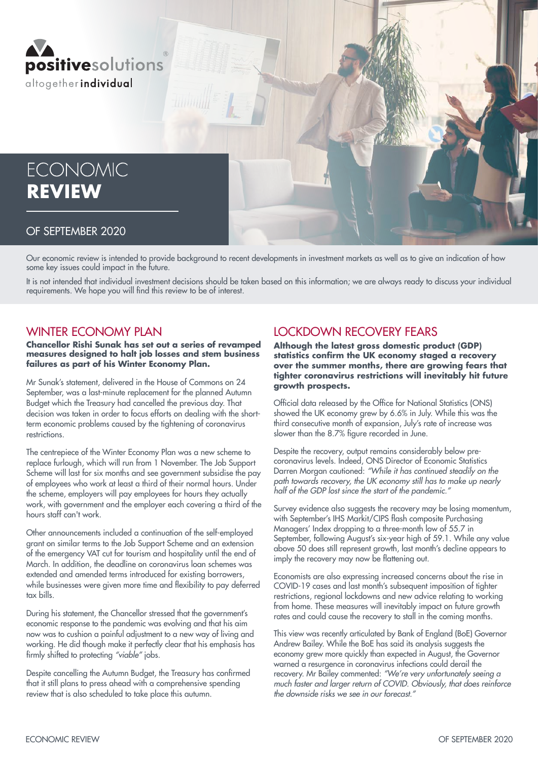

# **ECONOMIC REVIEW**

#### OF SEPTEMBER 2020

Our economic review is intended to provide background to recent developments in investment markets as well as to give an indication of how some key issues could impact in the future.

It is not intended that individual investment decisions should be taken based on this information; we are always ready to discuss your individual requirements. We hope you will find this review to be of interest.

#### WINTER FCONOMY PLAN

**Chancellor Rishi Sunak has set out a series of revamped measures designed to halt job losses and stem business failures as part of his Winter Economy Plan.**

Mr Sunak's statement, delivered in the House of Commons on 24 September, was a last-minute replacement for the planned Autumn Budget which the Treasury had cancelled the previous day. That decision was taken in order to focus efforts on dealing with the shortterm economic problems caused by the tightening of coronavirus restrictions.

The centrepiece of the Winter Economy Plan was a new scheme to replace furlough, which will run from 1 November. The Job Support Scheme will last for six months and see government subsidise the pay of employees who work at least a third of their normal hours. Under the scheme, employers will pay employees for hours they actually work, with government and the employer each covering a third of the hours staff can't work.

Other announcements included a continuation of the self-employed grant on similar terms to the Job Support Scheme and an extension of the emergency VAT cut for tourism and hospitality until the end of March. In addition, the deadline on coronavirus loan schemes was extended and amended terms introduced for existing borrowers, while businesses were given more time and flexibility to pay deferred tax bills.

During his statement, the Chancellor stressed that the government's economic response to the pandemic was evolving and that his aim now was to cushion a painful adjustment to a new way of living and working. He did though make it perfectly clear that his emphasis has firmly shifted to protecting *"viable"* jobs.

Despite cancelling the Autumn Budget, the Treasury has confirmed that it still plans to press ahead with a comprehensive spending review that is also scheduled to take place this autumn.

### LOCKDOWN RECOVERY FEARS

**Although the latest gross domestic product (GDP) statistics confirm the UK economy staged a recovery over the summer months, there are growing fears that tighter coronavirus restrictions will inevitably hit future growth prospects.**

Official data released by the Office for National Statistics (ONS) showed the UK economy grew by 6.6% in July. While this was the third consecutive month of expansion, July's rate of increase was slower than the 8.7% figure recorded in June.

Despite the recovery, output remains considerably below precoronavirus levels. Indeed, ONS Director of Economic Statistics Darren Morgan cautioned: *"While it has continued steadily on the*  path towards recovery, the UK economy still has to make up nearly *half of the GDP lost since the start of the pandemic."*

Survey evidence also suggests the recovery may be losing momentum, with September's IHS Markit/CIPS flash composite Purchasing Managers' Index dropping to a three-month low of 55.7 in September, following August's six-year high of 59.1. While any value above 50 does still represent growth, last month's decline appears to imply the recovery may now be flattening out.

Economists are also expressing increased concerns about the rise in COVID-19 cases and last month's subsequent imposition of tighter restrictions, regional lockdowns and new advice relating to working from home. These measures will inevitably impact on future growth rates and could cause the recovery to stall in the coming months.

This view was recently articulated by Bank of England (BoE) Governor Andrew Bailey. While the BoE has said its analysis suggests the economy grew more quickly than expected in August, the Governor warned a resurgence in coronavirus infections could derail the recovery. Mr Bailey commented: *"We're very unfortunately seeing a much faster and larger return of COVID. Obviously, that does reinforce the downside risks we see in our forecast."*